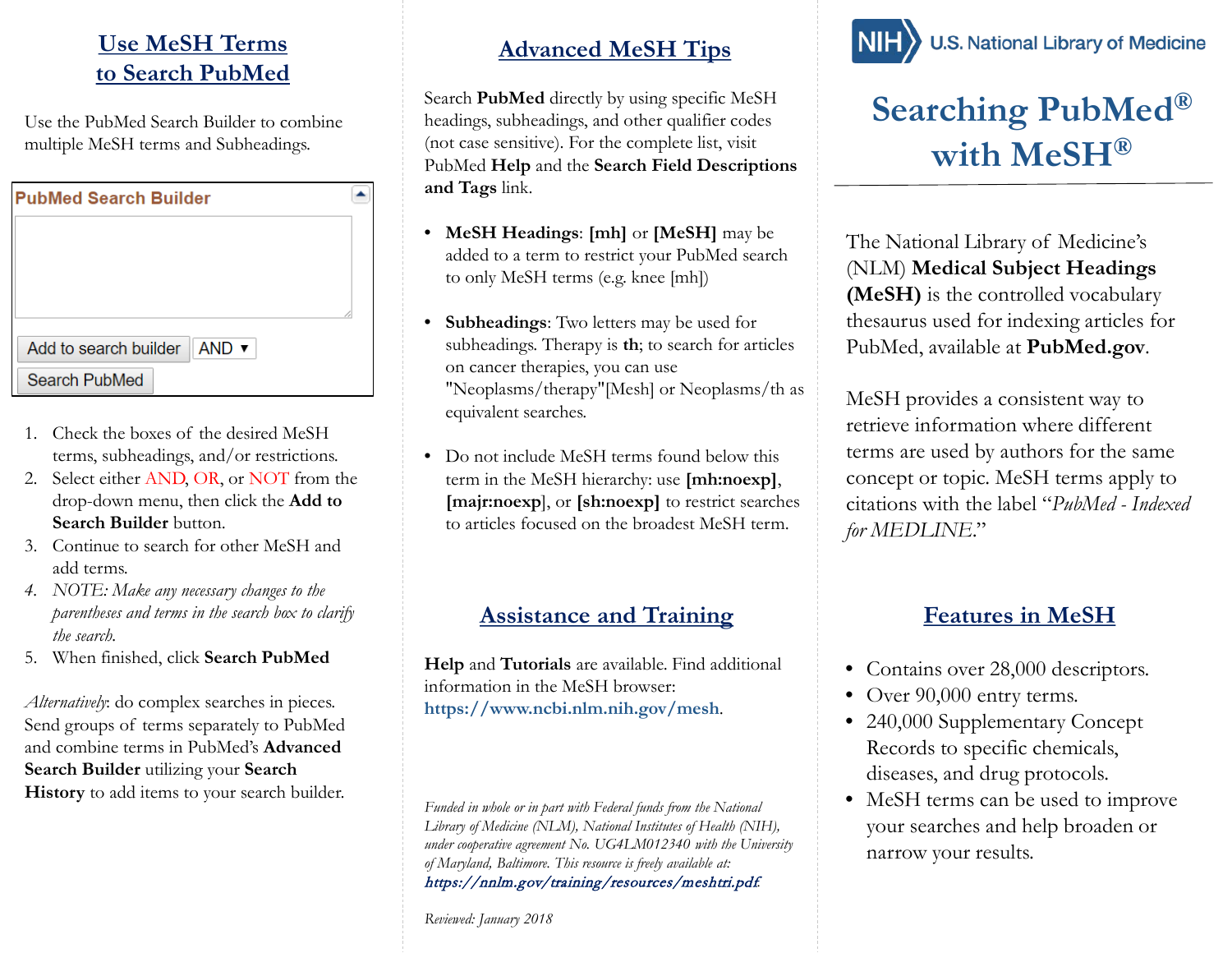#### **Use MeSH Terms to Search PubMed**

Use the PubMed Search Builder to combine multiple MeSH terms and Subheadings.

| <b>PubMed Search Builder</b>                               |  |
|------------------------------------------------------------|--|
|                                                            |  |
|                                                            |  |
|                                                            |  |
|                                                            |  |
| Add to search builder $\parallel$ AND $\blacktriangledown$ |  |
| <b>Search PubMed</b>                                       |  |

- 1. Check the boxes of the desired MeSH terms, subheadings, and/or restrictions.
- 2. Select either AND, OR, or NOT from the drop-down menu, then click the **Add to Search Builder** button.
- 3. Continue to search for other MeSH and add terms.
- *4. NOTE: Make any necessary changes to the parentheses and terms in the search box to clarify the search.*
- 5. When finished, click **Search PubMed**

*Alternatively*: do complex searches in pieces. Send groups of terms separately to PubMed and combine terms in PubMed's **Advanced Search Builder** utilizing your **Search History** to add items to your search builder.

#### **Advanced MeSH Tips**

Search **PubMed** directly by using specific MeSH headings, subheadings, and other qualifier codes (not case sensitive). For the complete list, visit PubMed **Help** and the **Search Field Descriptions and Tags** link.

- **MeSH Headings**: **[mh]** or **[MeSH]** may be added to a term to restrict your PubMed search to only MeSH terms (e.g. knee [mh])
- **Subheadings**: Two letters may be used for subheadings. Therapy is **th**; to search for articles on cancer therapies, you can use "Neoplasms/therapy"[Mesh] or Neoplasms/th as equivalent searches.
- Do not include MeSH terms found below this term in the MeSH hierarchy: use **[mh:noexp]**, **[majr:noexp**], or **[sh:noexp]** to restrict searches to articles focused on the broadest MeSH term.

#### **Assistance and Training**

**Help** and **Tutorials** are available. Find additional information in the MeSH browser: **https://www.ncbi.nlm.nih.gov/mesh**.

*Funded in whole or in part with Federal funds from the National Library of Medicine (NLM), National Institutes of Health (NIH), under cooperative agreement No. UG4LM012340 with the University of Maryland, Baltimore. This resource is freely available at:*  https://nnlm.gov/training/resources/meshtri.pdf.

*Reviewed: January 2018*



# **Searching PubMed® with MeSH®**

The National Library of Medicine's (NLM) **Medical Subject Headings (MeSH)** is the controlled vocabulary thesaurus used for indexing articles for PubMed, available at **PubMed.gov**.

MeSH provides a consistent way to retrieve information where different terms are used by authors for the same concept or topic. MeSH terms apply to citations with the label "*PubMed - Indexed for MEDLINE*."

## **Features in MeSH**

- Contains over 28,000 descriptors.
- Over 90,000 entry terms.
- 240,000 Supplementary Concept Records to specific chemicals, diseases, and drug protocols.
- MeSH terms can be used to improve your searches and help broaden or narrow your results.